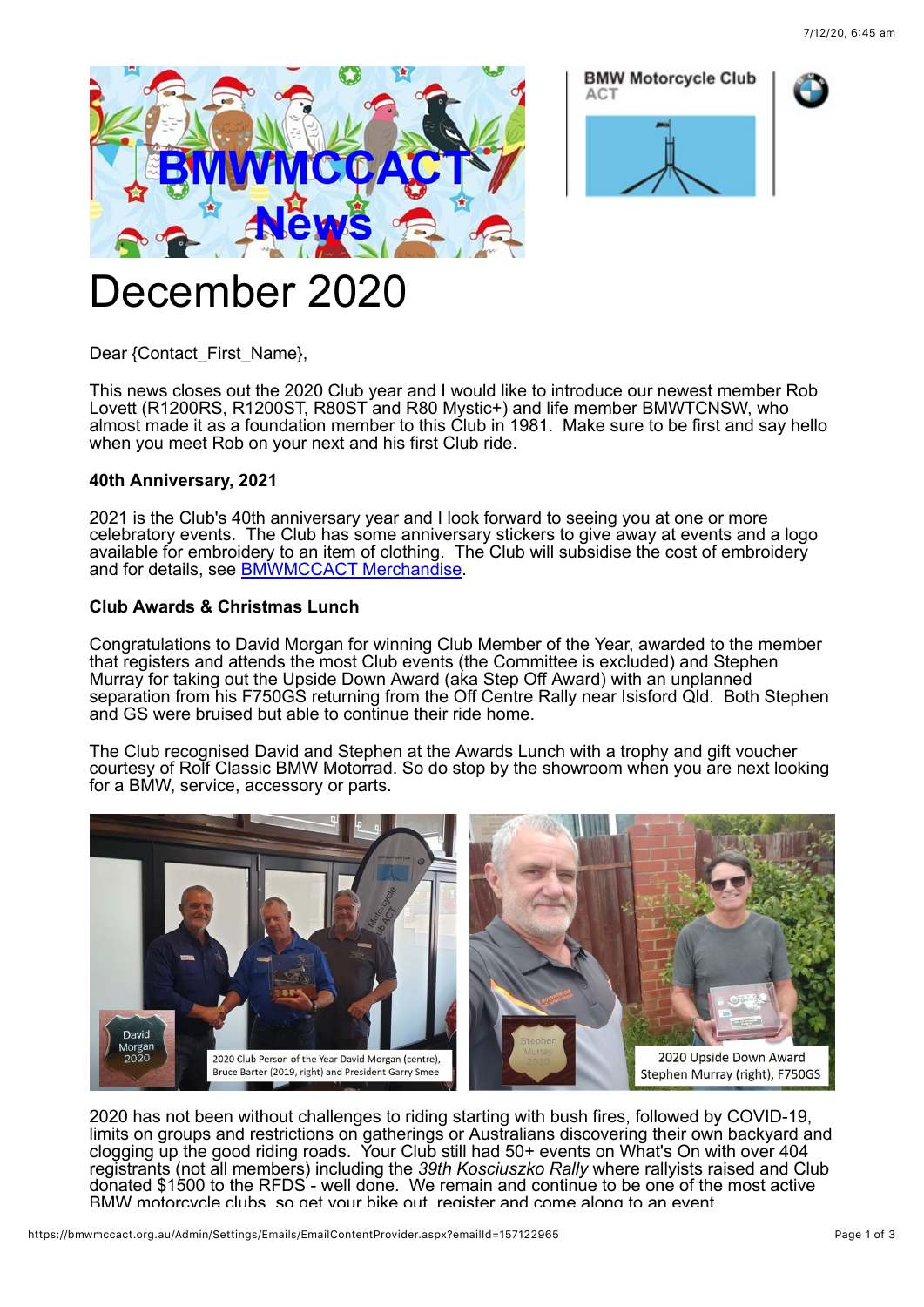





# December 2020

Dear {Contact\_First\_Name},

This news closes out the 2020 Club year and I would like to introduce our newest member Rob Lovett (R1200RS, R1200ST, R80ST and R80 Mystic+) and life member BMWTCNSW, who almost made it as a foundation member to this Club in 1981. Make sure to be first and say hello when you meet Rob on your next and his first Club ride.

# **40th Anniversary, 2021**

2021 is the Club's 40th anniversary year and I look forward to seeing you at one or more celebratory events. The Club has some anniversary stickers to give away at events and a logo available for embroidery to an item of clothing. The Club will subsidise the cost of embroidery and for details, see [BMWMCCACT Merchandise.](https://bmwmccact.org.au/BMWMCCACT-Merchandise)

# **Club Awards & Christmas Lunch**

Congratulations to David Morgan for winning Club Member of the Year, awarded to the member that registers and attends the most Club events (the Committee is excluded) and Stephen Murray for taking out the Upside Down Award (aka Step Off Award) with an unplanned separation from his F750GS returning from the Off Centre Rally near Isisford Qld. Both Stephen and GS were bruised but able to continue their ride home.

The Club recognised David and Stephen at the Awards Lunch with a trophy and gift voucher courtesy of Rolf Classic BMW Motorrad. So do stop by the showroom when you are next looking for a BMW, service, accessory or parts.



2020 has not been without challenges to riding starting with bush fires, followed by COVID-19, limits on groups and restrictions on gatherings or Australians discovering their own backyard and clogging up the good riding roads. Your Club still had 50+ events on What's On with over 404 registrants (not all members) including the *39th Kosciuszko Rally* where rallyists raised and Club donated \$1500 to the RFDS - well done. We remain and continue to be one of the most active BMW motorcycle clubs, so get your bike out, register and come along to an event.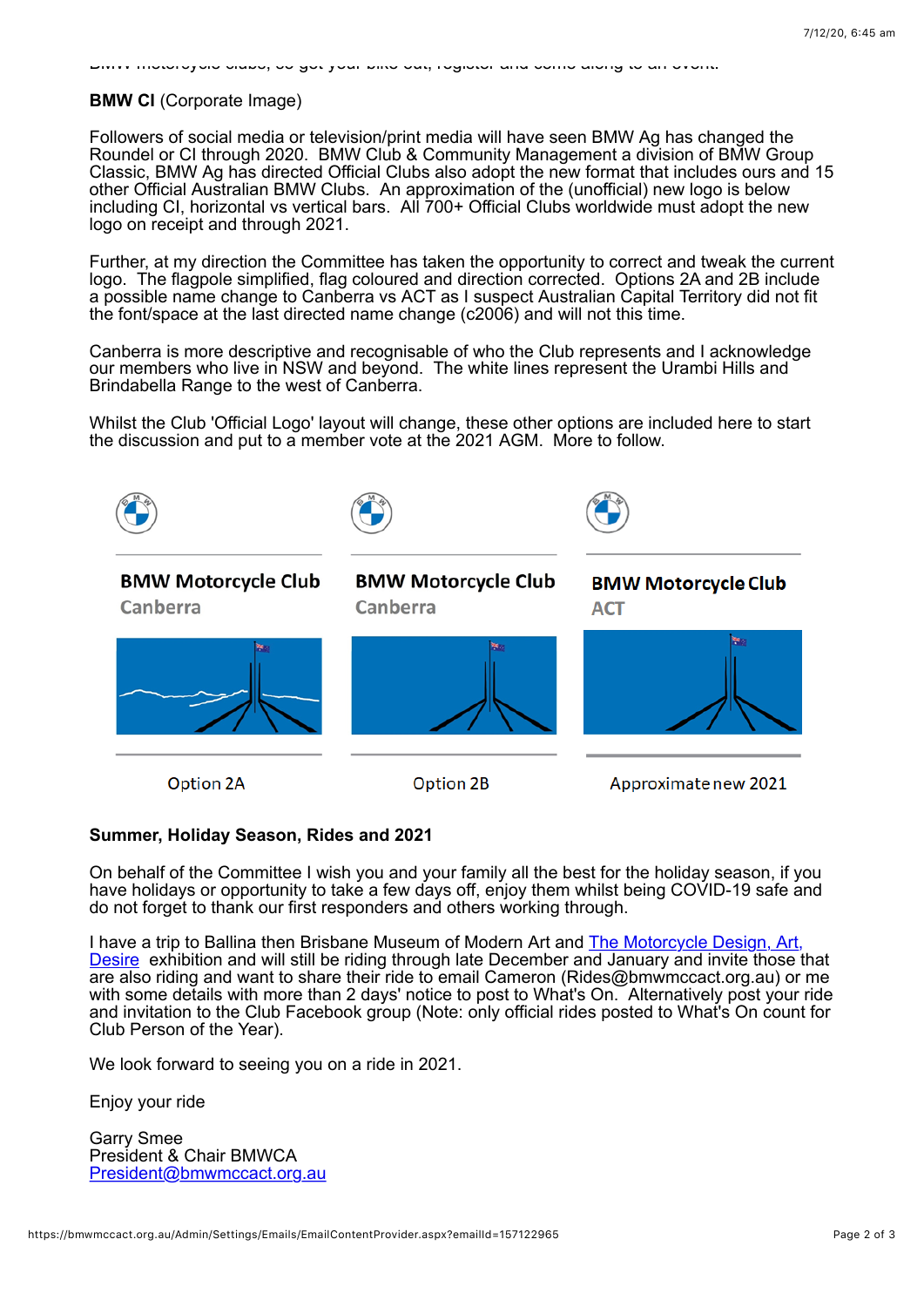#### BMW motorcycle clubs, so get your bike out, register and come along to an event.

### **BMW CI** (Corporate Image)

Followers of social media or television/print media will have seen BMW Ag has changed the Roundel or CI through 2020. BMW Club & Community Management a division of BMW Group Classic, BMW Ag has directed Official Clubs also adopt the new format that includes ours and 15 other Official Australian BMW Clubs. An approximation of the (unofficial) new logo is below including CI, horizontal vs vertical bars. All 700+ Official Clubs worldwide must adopt the new logo on receipt and through 2021.

Further, at my direction the Committee has taken the opportunity to correct and tweak the current logo. The flagpole simplified, flag coloured and direction corrected. Options 2A and 2B include a possible name change to Canberra vs ACT as I suspect Australian Capital Territory did not fit the font/space at the last directed name change (c2006) and will not this time.

Canberra is more descriptive and recognisable of who the Club represents and I acknowledge our members who live in NSW and beyond. The white lines represent the Urambi Hills and Brindabella Range to the west of Canberra.

Whilst the Club 'Official Logo' layout will change, these other options are included here to start the discussion and put to a member vote at the 2021 AGM. More to follow.



# **Summer, Holiday Season, Rides and 2021**

On behalf of the Committee I wish you and your family all the best for the holiday season, if you have holidays or opportunity to take a few days off, enjoy them whilst being COVID-19 safe and do not forget to thank our first responders and others working through.

I have a trip to Ballina then Brisbane Museum of Modern Art and The Motorcycle Design, Art, **Desire** exhibition and will still be riding through late December and January and invite those that are also riding and want to share their ride to email Cameron (Rides@bmwmccact.org.au) or me with some details with more than 2 days' notice to post to What's On. Alternatively post your ride and invitation to the Club Facebook group (Note: only official rides posted to What's On count for Club Person of the Year).

We look forward to seeing you on a ride in 2021.

Enjoy your ride

Garry Smee President & Chair BMWCA [President@bmwmccact.org.au](mailto:President@bmwmccact.org.au)